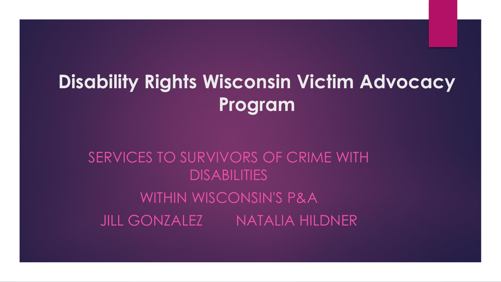# **Disability Rights Wisconsin Victim Advocacy Program**

### SERVICES TO SURVIVORS OF CRIME WITH **DISABILITIES** WITHIN WISCONSIN'S P&A JILL GONZALEZ NATALIA HILDNER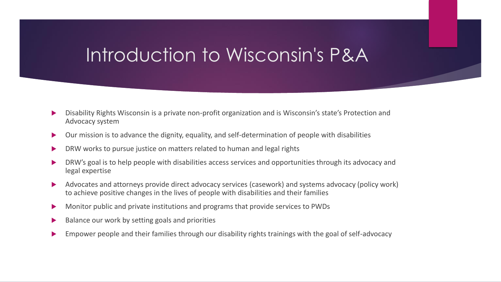## Introduction to Wisconsin's P&A

- Disability Rights Wisconsin is a private non-profit organization and is Wisconsin's state's Protection and Advocacy system
- Our mission is to advance the dignity, equality, and self-determination of people with disabilities
- DRW works to pursue justice on matters related to human and legal rights
- DRW's goal is to help people with disabilities access services and opportunities through its advocacy and legal expertise
- Advocates and attorneys provide direct advocacy services (casework) and systems advocacy (policy work) to achieve positive changes in the lives of people with disabilities and their families
- Monitor public and private institutions and programs that provide services to PWDs
- Balance our work by setting goals and priorities
- Empower people and their families through our disability rights trainings with the goal of self-advocacy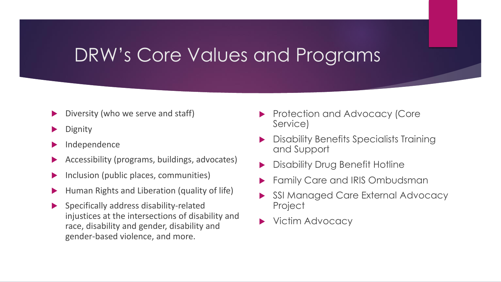### DRW's Core Values and Programs

- Diversity (who we serve and staff)
- **Dignity**
- Independence
- Accessibility (programs, buildings, advocates)
- Inclusion (public places, communities)
- Human Rights and Liberation (quality of life)
- Specifically address disability-related injustices at the intersections of disability and race, disability and gender, disability and gender-based violence, and more.
- **Protection and Advocacy (Core** Service)
- Disability Benefits Specialists Training and Support
- Disability Drug Benefit Hotline
- Family Care and IRIS Ombudsman
- SSI Managed Care External Advocacy Project
- Victim Advocacy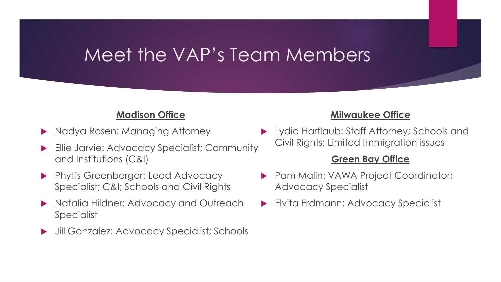### Meet the VAP's Team Members

### **Madison Office**

- Nadya Rosen: Managing Attorney
- Ellie Jarvie: Advocacy Specialist; Community and Institutions (C&I)
- **Phyllis Greenberger: Lead Advocacy** Specialist; C&I; Schools and Civil Rights
- ▶ Natalia Hildner: Advocacy and Outreach Specialist
- Jill Gonzalez: Advocacy Specialist; Schools

### **Milwaukee Office**

 Lydia Hartlaub: Staff Attorney; Schools and Civil Rights; Limited Immigration issues

### **Green Bay Office**

- **Pam Malin: VAWA Project Coordinator;** Advocacy Specialist
- **Elvita Erdmann: Advocacy Specialist**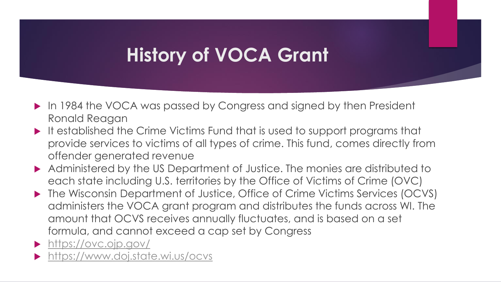# **History of VOCA Grant**

- ▶ In 1984 the VOCA was passed by Congress and signed by then President Ronald Reagan
- It established the Crime Victims Fund that is used to support programs that provide services to victims of all types of crime. This fund, comes directly from offender generated revenue
- Administered by the US Department of Justice. The monies are distributed to each state including U.S. territories by the Office of Victims of Crime (OVC)
- ▶ The Wisconsin Department of Justice, Office of Crime Victims Services (OCVS) administers the VOCA grant program and distributes the funds across WI. The amount that OCVS receives annually fluctuates, and is based on a set formula, and cannot exceed a cap set by Congress
- <https://ovc.ojp.gov/>
- <https://www.doj.state.wi.us/ocvs>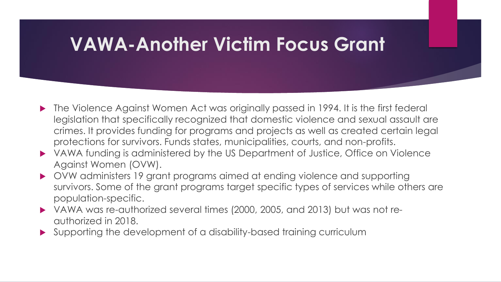### **VAWA-Another Victim Focus Grant**

- The Violence Against Women Act was originally passed in 1994. It is the first federal legislation that specifically recognized that domestic violence and sexual assault are crimes. It provides funding for programs and projects as well as created certain legal protections for survivors. Funds states, municipalities, courts, and non-profits.
- VAWA funding is administered by the US Department of Justice, Office on Violence Against Women (OVW).
- OVW administers 19 grant programs aimed at ending violence and supporting survivors. Some of the grant programs target specific types of services while others are population-specific.
- VAWA was re-authorized several times (2000, 2005, and 2013) but was not reauthorized in 2018.
- Supporting the development of a disability-based training curriculum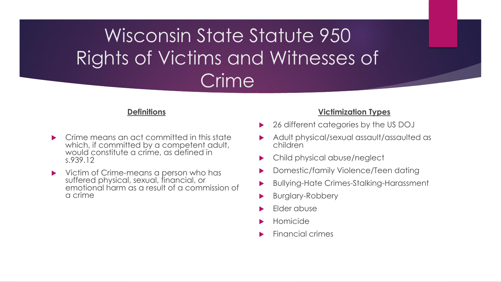Wisconsin State Statute 950 Rights of Victims and Witnesses of Crime

#### **Definitions**

- Crime means an act committed in this state which, if committed by a competent adult, would constitute a crime, as defined in s.939.12
- **•** Victim of Crime-means a person who has suffered physical, sexual, financial, or emotional harm as a result of a commission of a crime

#### **Victimization Types**

- 26 different categories by the US DOJ
- Adult physical/sexual assault/assaulted as children
- Child physical abuse/neglect
- Domestic/family Violence/Teen dating
- Bullying-Hate Crimes-Stalking-Harassment
- Burglary-Robbery
- Elder abuse
- Homicide
- Financial crimes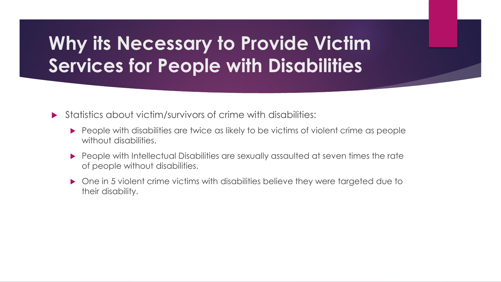# **Why its Necessary to Provide Victim Services for People with Disabilities**

Statistics about victim/survivors of crime with disabilities:

- **People with disabilities are twice as likely to be victims of violent crime as people** without disabilities.
- People with Intellectual Disabilities are sexually assaulted at seven times the rate of people without disabilities.
- ▶ One in 5 violent crime victims with disabilities believe they were targeted due to their disability.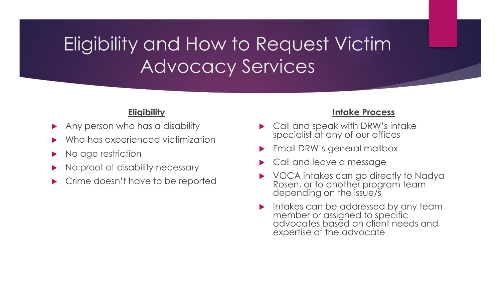# Eligibility and How to Request Victim Advocacy Services

### **Eligibility**

- Any person who has a disability
- Who has experienced victimization
- No age restriction
- No proof of disability necessary
- Crime doesn't have to be reported

### **Intake Process**

- Call and speak with DRW's intake specialist at any of our offices
- Email DRW's general mailbox
- Call and leave a message
- VOCA intakes can go directly to Nadya Rosen, or to another program team depending on the issue/s
- Intakes can be addressed by any team member or assigned to specific advocates based on client needs and expertise of the advocate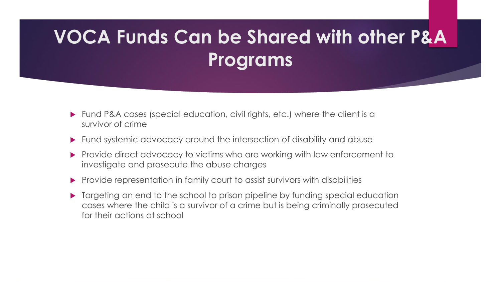# **VOCA Funds Can be Shared with other P&A Programs**

- Fund P&A cases (special education, civil rights, etc.) where the client is a survivor of crime
- Fund systemic advocacy around the intersection of disability and abuse
- Provide direct advocacy to victims who are working with law enforcement to investigate and prosecute the abuse charges
- Provide representation in family court to assist survivors with disabilities
- Targeting an end to the school to prison pipeline by funding special education cases where the child is a survivor of a crime but is being criminally prosecuted for their actions at school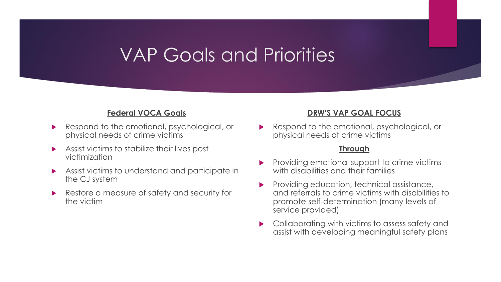## VAP Goals and Priorities

### **Federal VOCA Goals**

- Respond to the emotional, psychological, or physical needs of crime victims
- Assist victims to stabilize their lives post victimization
- Assist victims to understand and participate in the CJ system
- Restore a measure of safety and security for the victim

#### **DRW'S VAP GOAL FOCUS**

 Respond to the emotional, psychological, or physical needs of crime victims

#### **Through**

- Providing emotional support to crime victims with disabilities and their families
- Providing education, technical assistance, and referrals to crime victims with disabilities to promote self-determination (many levels of service provided)
- Collaborating with victims to assess safety and assist with developing meaningful safety plans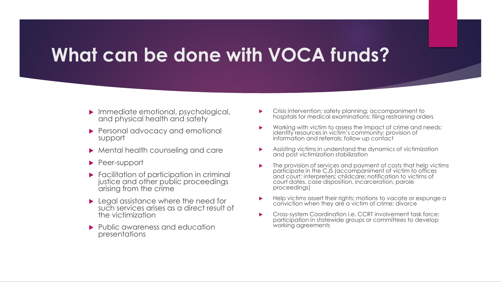### **What can be done with VOCA funds?**

- Immediate emotional, psychological, and physical health and safety
- **Personal advocacy and emotional** support
- Mental health counseling and care
- ▶ Peer-support
- **Facilitation of participation in criminal** justice and other public proceedings arising from the crime
- ▶ Legal assistance where the need for such services arises as a direct result of the victimization
- **Public awareness and education** presentations
- Crisis intervention; safety planning; accompaniment to hospitals for medical examinations; filing restraining orders
- Working with victim to assess the impact of crime and needs; identify resources in victim's community; provision of information and referrals; follow up contact
- Assisting victims in understand the dynamics of victimization and post victimization stabilization
- The provision of services and payment of costs that help victims participate in the CJS (accompaniment of victim to offices and court; interpreters; childcare; notification to victims of court dates, case disposition, incarceration, parole proceedings)
- Help victims assert their rights; motions to vacate or expunge a conviction when they are a victim of crime; divorce
- Cross-system Coordination i.e. CCRT involvement task force; participation in statewide groups or committees to develop working agreements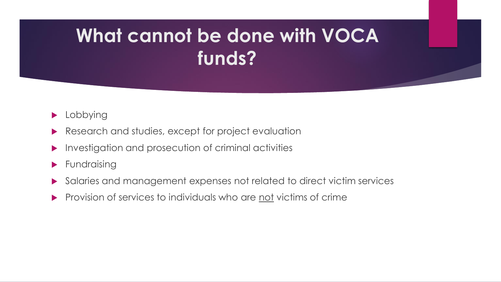# **What cannot be done with VOCA funds?**

- **Lobbying**
- Research and studies, except for project evaluation
- $\blacktriangleright$  Investigation and prosecution of criminal activities
- **Fundraising**
- Salaries and management expenses not related to direct victim services
- Provision of services to individuals who are not victims of crime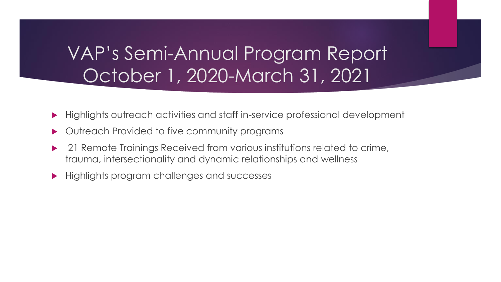# VAP's Semi-Annual Program Report October 1, 2020-March 31, 2021

- Highlights outreach activities and staff in-service professional development
- Outreach Provided to five community programs
- 21 Remote Trainings Received from various institutions related to crime, trauma, intersectionality and dynamic relationships and wellness
- **Highlights program challenges and successes**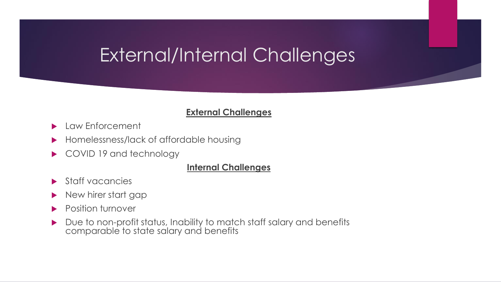# External/Internal Challenges

### **External Challenges**

- **Law Enforcement**
- ▶ Homelessness/lack of affordable housing
- COVID 19 and technology

### **Internal Challenges**

- Staff vacancies
- New hirer start gap
- **Position turnover**
- Due to non-profit status, Inability to match staff salary and benefits comparable to state salary and benefits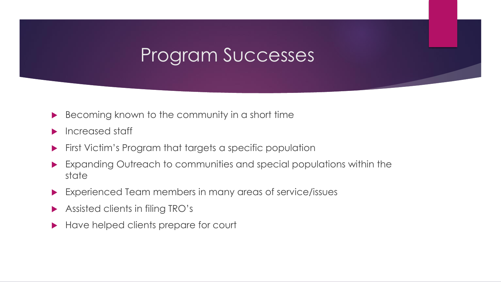## Program Successes

- Becoming known to the community in a short time
- $\blacktriangleright$  Increased staff
- **First Victim's Program that targets a specific population**
- Expanding Outreach to communities and special populations within the state
- Experienced Team members in many areas of service/issues
- Assisted clients in filing TRO's
- Have helped clients prepare for court